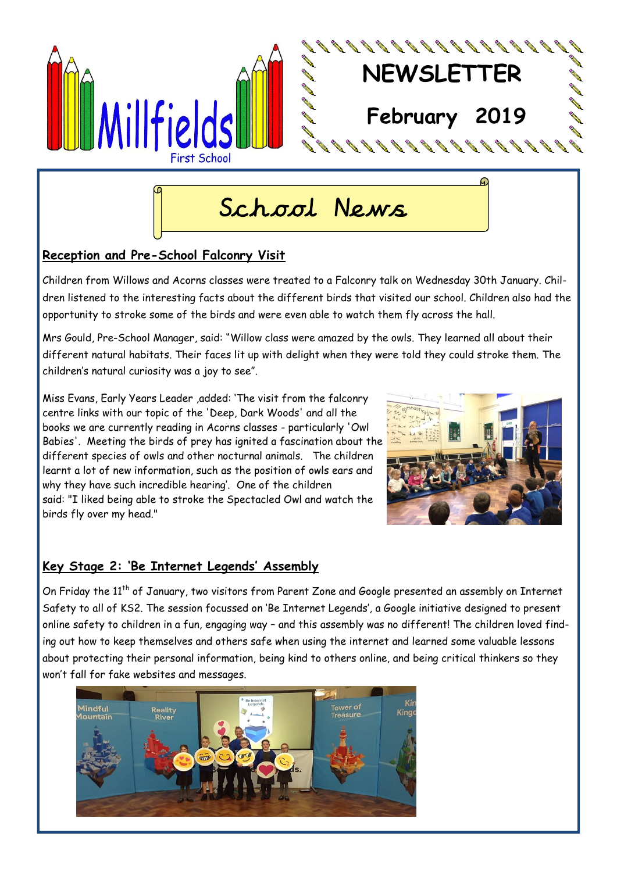

## School News

#### **Reception and Pre-School Falconry Visit**

Children from Willows and Acorns classes were treated to a Falconry talk on Wednesday 30th January. Children listened to the interesting facts about the different birds that visited our school. Children also had the opportunity to stroke some of the birds and were even able to watch them fly across the hall.

Mrs Gould, Pre-School Manager, said: "Willow class were amazed by the owls. They learned all about their different natural habitats. Their faces lit up with delight when they were told they could stroke them. The children's natural curiosity was a joy to see".

Miss Evans, Early Years Leader ,added: 'The visit from the falconry centre links with our topic of the 'Deep, Dark Woods' and all the books we are currently reading in Acorns classes - particularly 'Owl Babies'. Meeting the birds of prey has ignited a fascination about the different species of owls and other nocturnal animals. The children learnt a lot of new information, such as the position of owls ears and why they have such incredible hearing'. One of the children said: "I liked being able to stroke the Spectacled Owl and watch the birds fly over my head."



#### **Key Stage 2: 'Be Internet Legends' Assembly**

On Friday the 11<sup>th</sup> of January, two visitors from Parent Zone and Google presented an assembly on Internet Safety to all of KS2. The session focussed on 'Be Internet Legends', a Google initiative designed to present online safety to children in a fun, engaging way – and this assembly was no different! The children loved finding out how to keep themselves and others safe when using the internet and learned some valuable lessons about protecting their personal information, being kind to others online, and being critical thinkers so they won't fall for fake websites and messages.

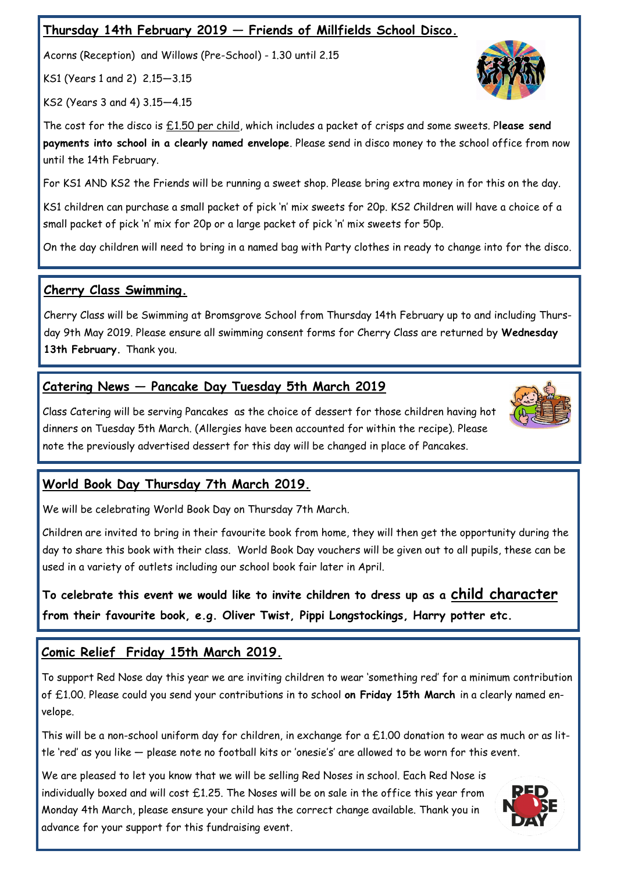#### **Thursday 14th February 2019 — Friends of Millfields School Disco.**

Acorns (Reception) and Willows (Pre-School) - 1.30 until 2.15

KS1 (Years 1 and 2) 2.15—3.15

KS2 (Years 3 and 4) 3.15—4.15

The cost for the disco is £1.50 per child, which includes a packet of crisps and some sweets. P**lease send payments into school in a clearly named envelope**. Please send in disco money to the school office from now until the 14th February.

For KS1 AND KS2 the Friends will be running a sweet shop. Please bring extra money in for this on the day.

KS1 children can purchase a small packet of pick 'n' mix sweets for 20p. KS2 Children will have a choice of a small packet of pick 'n' mix for 20p or a large packet of pick 'n' mix sweets for 50p.

On the day children will need to bring in a named bag with Party clothes in ready to change into for the disco.

#### **Cherry Class Swimming.**

Cherry Class will be Swimming at Bromsgrove School from Thursday 14th February up to and including Thursday 9th May 2019. Please ensure all swimming consent forms for Cherry Class are returned by **Wednesday 13th February.** Thank you.

#### **Catering News — Pancake Day Tuesday 5th March 2019**

Class Catering will be serving Pancakes as the choice of dessert for those children having hot dinners on Tuesday 5th March. (Allergies have been accounted for within the recipe). Please note the previously advertised dessert for this day will be changed in place of Pancakes.

#### **World Book Day Thursday 7th March 2019.**

We will be celebrating World Book Day on Thursday 7th March.

Children are invited to bring in their favourite book from home, they will then get the opportunity during the day to share this book with their class. World Book Day vouchers will be given out to all pupils, these can be used in a variety of outlets including our school book fair later in April.

**To celebrate this event we would like to invite children to dress up as a child character from their favourite book, e.g. Oliver Twist, Pippi Longstockings, Harry potter etc.**

### **Comic Relief Friday 15th March 2019.**

To support Red Nose day this year we are inviting children to wear 'something red' for a minimum contribution of £1.00. Please could you send your contributions in to school **on Friday 15th March** in a clearly named envelope.

This will be a non-school uniform day for children, in exchange for a £1.00 donation to wear as much or as little 'red' as you like — please note no football kits or 'onesie's' are allowed to be worn for this event.

We are pleased to let you know that we will be selling Red Noses in school. Each Red Nose is individually boxed and will cost  $£1.25$ . The Noses will be on sale in the office this year from Monday 4th March, please ensure your child has the correct change available. Thank you in advance for your support for this fundraising event.





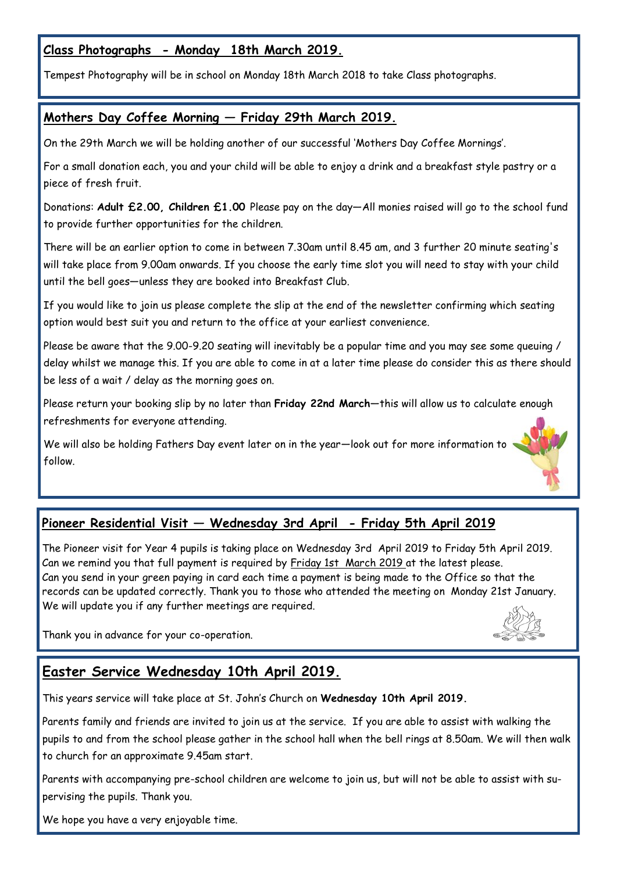#### **Class Photographs - Monday 18th March 2019.**

Tempest Photography will be in school on Monday 18th March 2018 to take Class photographs.

#### **Mothers Day Coffee Morning — Friday 29th March 2019.**

On the 29th March we will be holding another of our successful 'Mothers Day Coffee Mornings'.

For a small donation each, you and your child will be able to enjoy a drink and a breakfast style pastry or a piece of fresh fruit.

Donations: **Adult £2.00, Children £1.00** Please pay on the day—All monies raised will go to the school fund to provide further opportunities for the children.

There will be an earlier option to come in between 7.30am until 8.45 am, and 3 further 20 minute seating's will take place from 9.00am onwards. If you choose the early time slot you will need to stay with your child until the bell goes—unless they are booked into Breakfast Club.

If you would like to join us please complete the slip at the end of the newsletter confirming which seating option would best suit you and return to the office at your earliest convenience.

Please be aware that the 9.00-9.20 seating will inevitably be a popular time and you may see some queuing / delay whilst we manage this. If you are able to come in at a later time please do consider this as there should be less of a wait / delay as the morning goes on.

Please return your booking slip by no later than **Friday 22nd March**—this will allow us to calculate enough refreshments for everyone attending.

We will also be holding Fathers Day event later on in the year—look out for more information to follow.

#### **Pioneer Residential Visit — Wednesday 3rd April - Friday 5th April 2019**

The Pioneer visit for Year 4 pupils is taking place on Wednesday 3rd April 2019 to Friday 5th April 2019. Can we remind you that full payment is required by Friday 1st March 2019 at the latest please. Can you send in your green paying in card each time a payment is being made to the Office so that the records can be updated correctly. Thank you to those who attended the meeting on Monday 21st January. We will update you if any further meetings are required.

Thank you in advance for your co-operation.



#### **Easter Service Wednesday 10th April 2019.**

This years service will take place at St. John's Church on **Wednesday 10th April 2019.**

Parents family and friends are invited to join us at the service. If you are able to assist with walking the pupils to and from the school please gather in the school hall when the bell rings at 8.50am. We will then walk to church for an approximate 9.45am start.

Parents with accompanying pre-school children are welcome to join us, but will not be able to assist with supervising the pupils. Thank you.

We hope you have a very enjoyable time.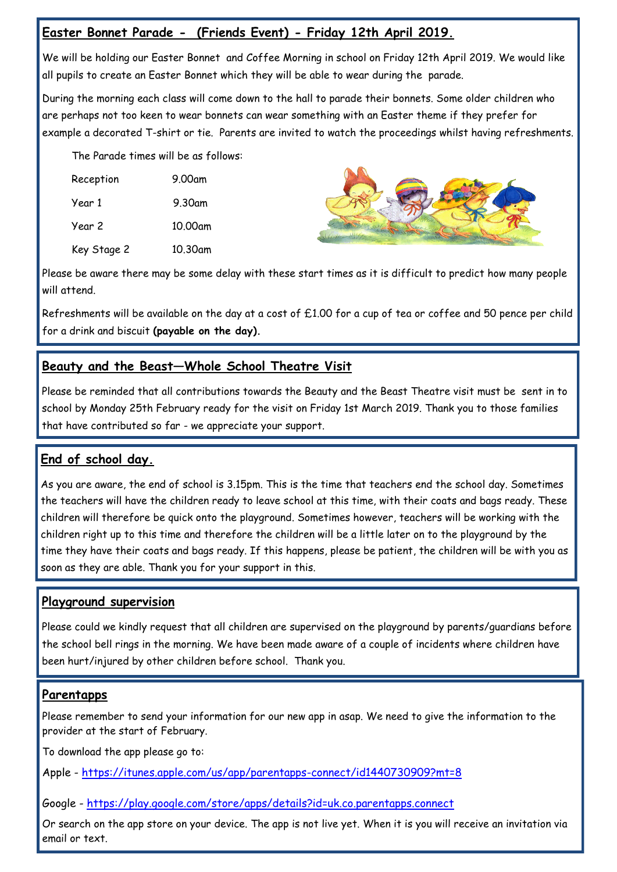#### **Easter Bonnet Parade - (Friends Event) - Friday 12th April 2019.**

We will be holding our Easter Bonnet and Coffee Morning in school on Friday 12th April 2019. We would like all pupils to create an Easter Bonnet which they will be able to wear during the parade.

During the morning each class will come down to the hall to parade their bonnets. Some older children who are perhaps not too keen to wear bonnets can wear something with an Easter theme if they prefer for example a decorated T-shirt or tie. Parents are invited to watch the proceedings whilst having refreshments.

The Parade times will be as follows:

| Reception   | 9.00am  |
|-------------|---------|
| Year 1      | 9.30am  |
| Year 2      | 10.00am |
| Key Stage 2 | 10.30am |



Please be aware there may be some delay with these start times as it is difficult to predict how many people will attend.

Refreshments will be available on the day at a cost of £1.00 for a cup of tea or coffee and 50 pence per child for a drink and biscuit **(payable on the day).** 

#### **Beauty and the Beast—Whole School Theatre Visit**

Please be reminded that all contributions towards the Beauty and the Beast Theatre visit must be sent in to school by Monday 25th February ready for the visit on Friday 1st March 2019. Thank you to those families that have contributed so far - we appreciate your support.

#### **End of school day.**

As you are aware, the end of school is 3.15pm. This is the time that teachers end the school day. Sometimes the teachers will have the children ready to leave school at this time, with their coats and bags ready. These children will therefore be quick onto the playground. Sometimes however, teachers will be working with the children right up to this time and therefore the children will be a little later on to the playground by the time they have their coats and bags ready. If this happens, please be patient, the children will be with you as soon as they are able. Thank you for your support in this.

#### **Playground supervision**

Please could we kindly request that all children are supervised on the playground by parents/guardians before the school bell rings in the morning. We have been made aware of a couple of incidents where children have been hurt/injured by other children before school. Thank you.

#### **Parentapps**

Please remember to send your information for our new app in asap. We need to give the information to the provider at the start of February.

To download the app please go to:

Apple - <https://itunes.apple.com/us/app/parentapps-connect/id1440730909?mt=8>

Google - <https://play.google.com/store/apps/details?id=uk.co.parentapps.connect>

Or search on the app store on your device. The app is not live yet. When it is you will receive an invitation via email or text.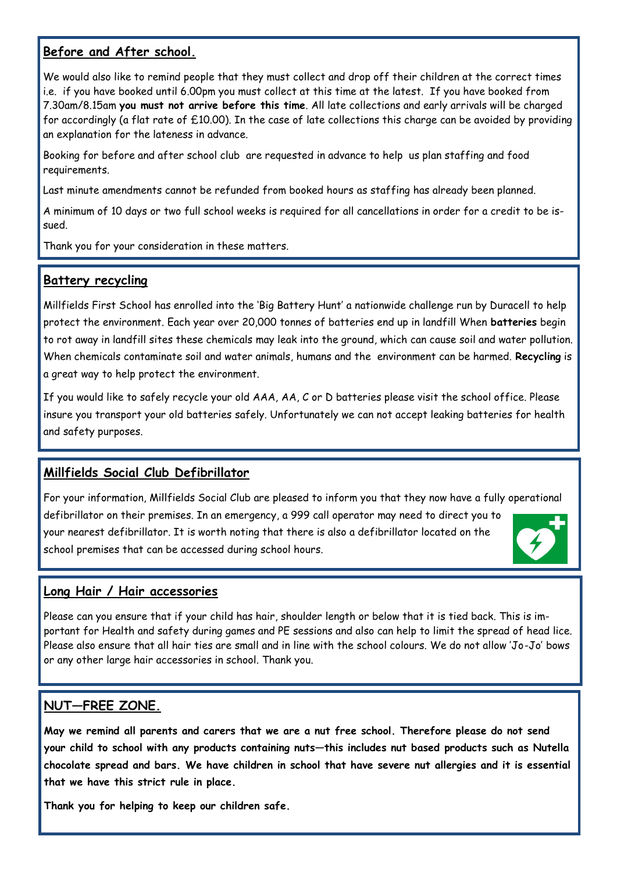#### **Before and After school.**

We would also like to remind people that they must collect and drop off their children at the correct times i.e. if you have booked until 6.00pm you must collect at this time at the latest. If you have booked from 7.30am/8.15am **you must not arrive before this time**. All late collections and early arrivals will be charged for accordingly (a flat rate of £10.00). In the case of late collections this charge can be avoided by providing an explanation for the lateness in advance.

Booking for before and after school club are requested in advance to help us plan staffing and food requirements.

Last minute amendments cannot be refunded from booked hours as staffing has already been planned.

A minimum of 10 days or two full school weeks is required for all cancellations in order for a credit to be issued.

Thank you for your consideration in these matters.

#### **Battery recycling**

Millfields First School has enrolled into the 'Big Battery Hunt' a nationwide challenge run by Duracell to help protect the environment. Each year over 20,000 tonnes of batteries end up in landfill When **batteries** begin to rot away in landfill sites these chemicals may leak into the ground, which can cause soil and water pollution. When chemicals contaminate soil and water animals, humans and the environment can be harmed. **Recycling** is a great way to help protect the environment.

If you would like to safely recycle your old AAA, AA, C or D batteries please visit the school office. Please insure you transport your old batteries safely. Unfortunately we can not accept leaking batteries for health and safety purposes.

#### **Millfields Social Club Defibrillator**

For your information, Millfields Social Club are pleased to inform you that they now have a fully operational defibrillator on their premises. In an emergency, a 999 call operator may need to direct you to your nearest defibrillator. It is worth noting that there is also a defibrillator located on the school premises that can be accessed during school hours.



#### **Long Hair / Hair accessories**

Please can you ensure that if your child has hair, shoulder length or below that it is tied back. This is important for Health and safety during games and PE sessions and also can help to limit the spread of head lice. Please also ensure that all hair ties are small and in line with the school colours. We do not allow 'Jo-Jo' bows or any other large hair accessories in school. Thank you.

#### **NUT—FREE ZONE.**

**May we remind all parents and carers that we are a nut free school. Therefore please do not send your child to school with any products containing nuts—this includes nut based products such as Nutella chocolate spread and bars. We have children in school that have severe nut allergies and it is essential that we have this strict rule in place.**

**Thank you for helping to keep our children safe.**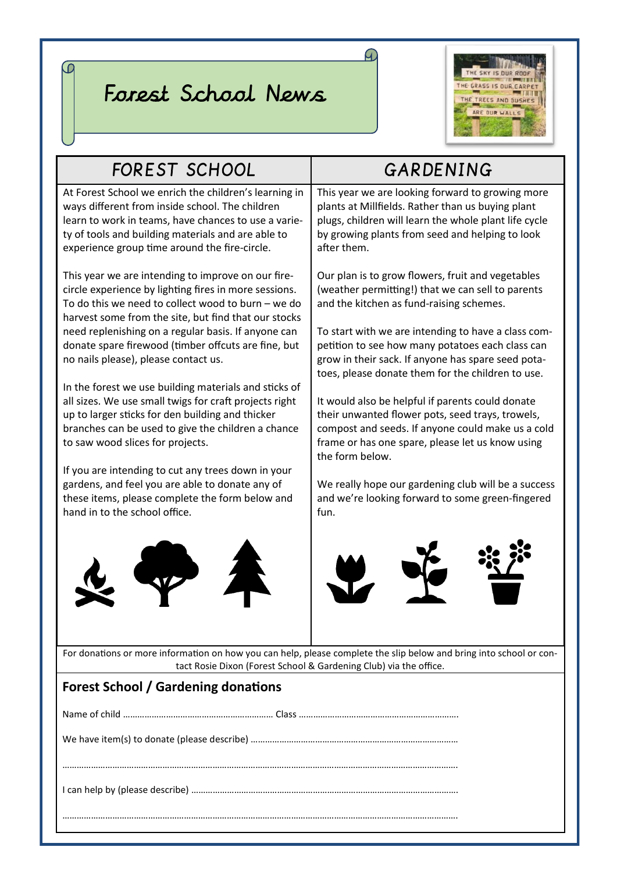# Forest School News

 $\overline{\omega}$ 



 $\Omega$ 

| <b>FOREST SCHOOL</b>                                                                                                                                                                                                                                                                                                                                                                                                                                                                                                                                                                                                                                                                                                                                                                                                                            | GARDENING                                                                                                                                                                                                                                                                                                                                                                                                                                                                                                                                                                                                                                                                                                                       |  |  |
|-------------------------------------------------------------------------------------------------------------------------------------------------------------------------------------------------------------------------------------------------------------------------------------------------------------------------------------------------------------------------------------------------------------------------------------------------------------------------------------------------------------------------------------------------------------------------------------------------------------------------------------------------------------------------------------------------------------------------------------------------------------------------------------------------------------------------------------------------|---------------------------------------------------------------------------------------------------------------------------------------------------------------------------------------------------------------------------------------------------------------------------------------------------------------------------------------------------------------------------------------------------------------------------------------------------------------------------------------------------------------------------------------------------------------------------------------------------------------------------------------------------------------------------------------------------------------------------------|--|--|
| At Forest School we enrich the children's learning in<br>ways different from inside school. The children<br>learn to work in teams, have chances to use a varie-<br>ty of tools and building materials and are able to<br>experience group time around the fire-circle.                                                                                                                                                                                                                                                                                                                                                                                                                                                                                                                                                                         | This year we are looking forward to growing more<br>plants at Millfields. Rather than us buying plant<br>plugs, children will learn the whole plant life cycle<br>by growing plants from seed and helping to look<br>after them.                                                                                                                                                                                                                                                                                                                                                                                                                                                                                                |  |  |
| This year we are intending to improve on our fire-<br>circle experience by lighting fires in more sessions.<br>To do this we need to collect wood to burn $-$ we do<br>harvest some from the site, but find that our stocks<br>need replenishing on a regular basis. If anyone can<br>donate spare firewood (timber offcuts are fine, but<br>no nails please), please contact us.<br>In the forest we use building materials and sticks of<br>all sizes. We use small twigs for craft projects right<br>up to larger sticks for den building and thicker<br>branches can be used to give the children a chance<br>to saw wood slices for projects.<br>If you are intending to cut any trees down in your<br>gardens, and feel you are able to donate any of<br>these items, please complete the form below and<br>hand in to the school office. | Our plan is to grow flowers, fruit and vegetables<br>(weather permitting!) that we can sell to parents<br>and the kitchen as fund-raising schemes.<br>To start with we are intending to have a class com-<br>petition to see how many potatoes each class can<br>grow in their sack. If anyone has spare seed pota-<br>toes, please donate them for the children to use.<br>It would also be helpful if parents could donate<br>their unwanted flower pots, seed trays, trowels,<br>compost and seeds. If anyone could make us a cold<br>frame or has one spare, please let us know using<br>the form below.<br>We really hope our gardening club will be a success<br>and we're looking forward to some green-fingered<br>fun. |  |  |
| For donations or more information on how you can help, please complete the slip below and bring into school or con-<br>tact Rosie Dixon (Forest School & Gardening Club) via the office.                                                                                                                                                                                                                                                                                                                                                                                                                                                                                                                                                                                                                                                        |                                                                                                                                                                                                                                                                                                                                                                                                                                                                                                                                                                                                                                                                                                                                 |  |  |
|                                                                                                                                                                                                                                                                                                                                                                                                                                                                                                                                                                                                                                                                                                                                                                                                                                                 |                                                                                                                                                                                                                                                                                                                                                                                                                                                                                                                                                                                                                                                                                                                                 |  |  |
| <b>Forest School / Gardening donations</b>                                                                                                                                                                                                                                                                                                                                                                                                                                                                                                                                                                                                                                                                                                                                                                                                      |                                                                                                                                                                                                                                                                                                                                                                                                                                                                                                                                                                                                                                                                                                                                 |  |  |
|                                                                                                                                                                                                                                                                                                                                                                                                                                                                                                                                                                                                                                                                                                                                                                                                                                                 |                                                                                                                                                                                                                                                                                                                                                                                                                                                                                                                                                                                                                                                                                                                                 |  |  |
|                                                                                                                                                                                                                                                                                                                                                                                                                                                                                                                                                                                                                                                                                                                                                                                                                                                 |                                                                                                                                                                                                                                                                                                                                                                                                                                                                                                                                                                                                                                                                                                                                 |  |  |
|                                                                                                                                                                                                                                                                                                                                                                                                                                                                                                                                                                                                                                                                                                                                                                                                                                                 |                                                                                                                                                                                                                                                                                                                                                                                                                                                                                                                                                                                                                                                                                                                                 |  |  |
|                                                                                                                                                                                                                                                                                                                                                                                                                                                                                                                                                                                                                                                                                                                                                                                                                                                 |                                                                                                                                                                                                                                                                                                                                                                                                                                                                                                                                                                                                                                                                                                                                 |  |  |

………………………………………………………………………………………………………………………………………………….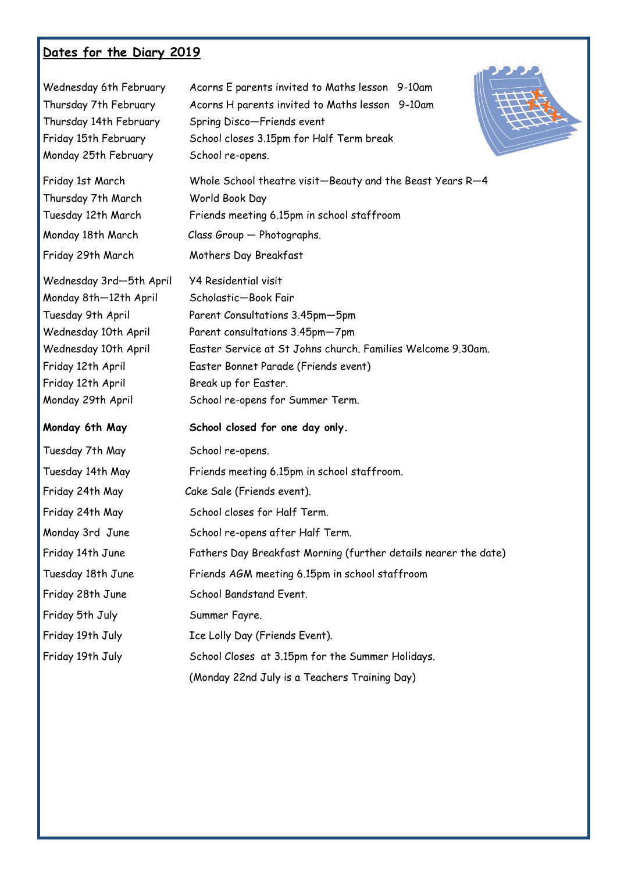### **Dates for the Diary 2019**

| Wednesday 6th February<br>Thursday 7th February<br>Thursday 14th February<br>Friday 15th February<br>Monday 25th February                                                            | Acorns E parents invited to Maths lesson 9-10am<br>Acorns H parents invited to Maths lesson 9-10am<br>Spring Disco-Friends event<br>School closes 3.15pm for Half Term break<br>School re-opens.                                                                                             |
|--------------------------------------------------------------------------------------------------------------------------------------------------------------------------------------|----------------------------------------------------------------------------------------------------------------------------------------------------------------------------------------------------------------------------------------------------------------------------------------------|
| Friday 1st March<br>Thursday 7th March<br>Tuesday 12th March                                                                                                                         | Whole School theatre visit-Beauty and the Beast Years R-4<br>World Book Day<br>Friends meeting 6.15pm in school staffroom                                                                                                                                                                    |
| Monday 18th March                                                                                                                                                                    | Class Group - Photographs.                                                                                                                                                                                                                                                                   |
| Friday 29th March                                                                                                                                                                    | Mothers Day Breakfast                                                                                                                                                                                                                                                                        |
| Wednesday 3rd-5th April<br>Monday 8th-12th April<br>Tuesday 9th April<br>Wednesday 10th April<br>Wednesday 10th April<br>Friday 12th April<br>Friday 12th April<br>Monday 29th April | <b>Y4 Residential visit</b><br>Scholastic-Book Fair<br>Parent Consultations 3.45pm-5pm<br>Parent consultations 3.45pm-7pm<br>Easter Service at St Johns church. Families Welcome 9.30am.<br>Easter Bonnet Parade (Friends event)<br>Break up for Easter.<br>School re-opens for Summer Term. |
| Monday 6th May                                                                                                                                                                       | School closed for one day only.                                                                                                                                                                                                                                                              |
| Tuesday 7th May                                                                                                                                                                      | School re-opens.                                                                                                                                                                                                                                                                             |
| Tuesday 14th May                                                                                                                                                                     | Friends meeting 6.15pm in school staffroom.                                                                                                                                                                                                                                                  |
| Friday 24th May                                                                                                                                                                      | Cake Sale (Friends event).                                                                                                                                                                                                                                                                   |
| Friday 24th May                                                                                                                                                                      | School closes for Half Term.                                                                                                                                                                                                                                                                 |
| Monday 3rd June                                                                                                                                                                      | School re-opens after Half Term.                                                                                                                                                                                                                                                             |
| Friday 14th June                                                                                                                                                                     | Fathers Day Breakfast Morning (further details nearer the date)                                                                                                                                                                                                                              |
| Tuesday 18th June                                                                                                                                                                    | Friends AGM meeting 6.15pm in school staffroom                                                                                                                                                                                                                                               |
| Friday 28th June                                                                                                                                                                     | School Bandstand Event.                                                                                                                                                                                                                                                                      |
| Friday 5th July                                                                                                                                                                      | Summer Fayre.                                                                                                                                                                                                                                                                                |
| Friday 19th July                                                                                                                                                                     | Ice Lolly Day (Friends Event).                                                                                                                                                                                                                                                               |
| Friday 19th July                                                                                                                                                                     | School Closes at 3.15pm for the Summer Holidays.                                                                                                                                                                                                                                             |
|                                                                                                                                                                                      | (Monday 22nd July is a Teachers Training Day)                                                                                                                                                                                                                                                |